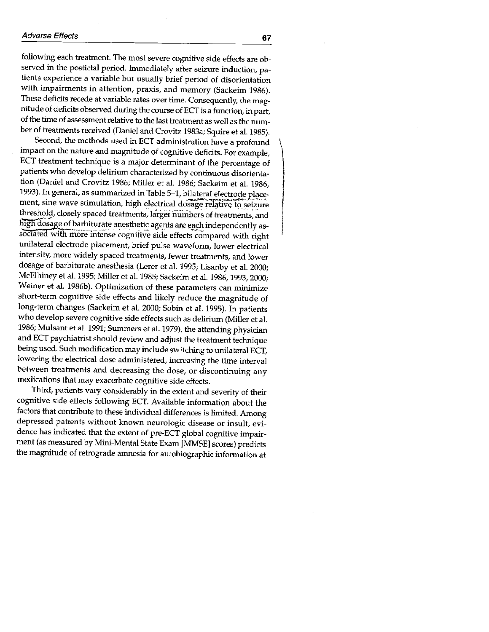following each treatment. The most severe cognitive side effects are observed in the postictal period. Immediately after seizure induction, patients experience a variable but usually brief period of disorientation with impairments in attention, praxis, and memory (Sackeim 1986). These deficits recede at variable rates over time. Consequently, the magnitude of deficits observed during the course of ECT is a function, in part, of the time of assessment relative to the last treatment as well as the number of treatments received (Daniel and Crovitz 1983a; Squire et al. 1985).

Second, the methods used in ECT administration have a profound impact on the nature and magnitude of cognitive deficits. For example, ECT treatment technique is a major determinant of the percentage of patients who develop delirium characterized by continuous disorientation (Daniel and Crovitz 1986; Miller et al. 1986; Sackeim et al. 1986, 1993). In general, as summarized in Table 5-1, bilateral electrode placement, sine wave stimulation, high electrical dosage relative to seizure threshold, closely spaced treatments, larger numbers of treatments, and high dosage of barbiturate anesthetic agents are each independently associated with more intense cognitive side effects compared with right unilateral electrode placement, brief pulse waveform, lower electrical intensity, more widely spaced treatments, fewer treatments, and lower dosage of barbiturate anesthesia (Lerer et al. 1995; Lisanby et al. 2000; McElhiney et al. 1995; Miller et al. 1985; Sackeim et al. 1986, 1993, 2000; Weiner et al. 1986b). Optimization of these parameters can minimize short-term cognitive side effects and likely reduce the magnitude of long-term changes (Sackeim et al. 2000; Sobin et al. 1995). In patients who develop severe cognitive side effects such as delirium (Miller et al. 1986; Mulsant et al. 1991; Summers et al. 1979), the attending physician and ECT psychiatrist should review and adjust the treatment technique being used. Such modification may include switching to unilateral ECT, lowering the electrical dose administered, increasing the time interval between treatments and decreasing the dose, or discontinuing any medications that may exacerbate cognitive side effects.

Third, patients vary considerably in the extent and severity of their cognitive side effects following ECT. Available information about the factors that contribute to these individual differences is limited. Among depressed patients without known neurologic disease or insult, evidence has indicated that the extent of pre-ECT global cognitive impairment (as measured by Mini-Mental State Exam [MMSE] scores) predicts the magnitude of retrograde amnesia for autobiographic information at